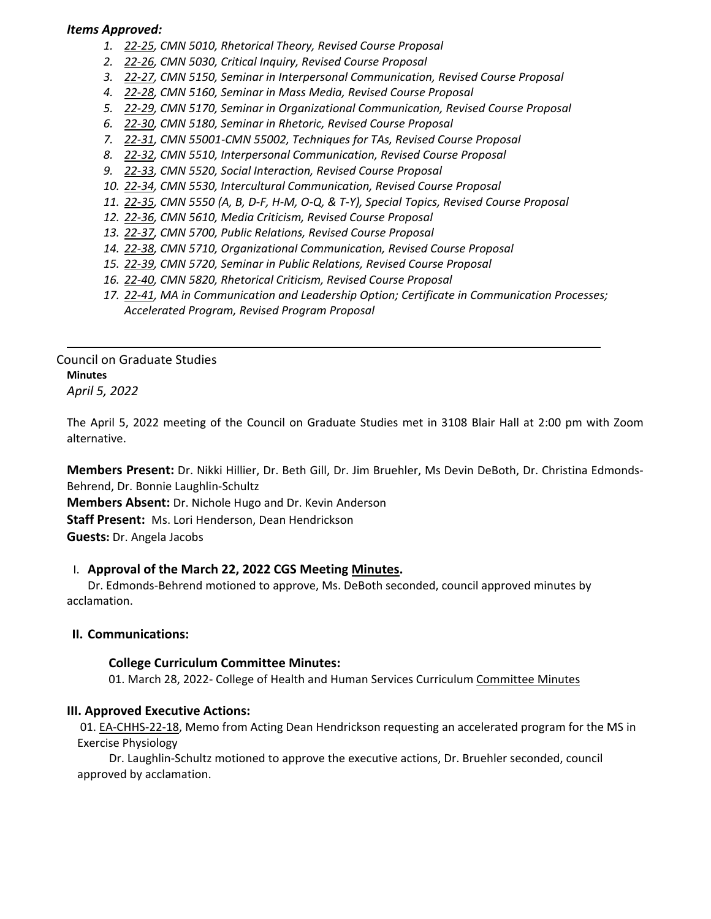## *Items Approved:*

- *1. 22‐[25,](https://castle.eiu.edu/eiucgs/currentagendaitems/agenda22-25.pdf) CMN 5010, Rhetorical Theory, Revised Course Proposal*
- *2. 22‐[26,](https://castle.eiu.edu/eiucgs/currentagendaitems/agenda22-26.pdf) CMN 5030, Critical Inquiry, Revised Course Proposal*
- *3. 22‐[27,](https://castle.eiu.edu/eiucgs/currentagendaitems/agenda22-27.pdf) CMN 5150, Seminar in Interpersonal Communication, Revised Course Proposal*
- *4. 22‐[28,](https://castle.eiu.edu/eiucgs/currentagendaitems/agenda22-28.pdf) CMN 5160, Seminar in Mass Media, Revised Course Proposal*
- *5. 22‐[29,](https://castle.eiu.edu/eiucgs/currentagendaitems/agenda22-29.pdf) CMN 5170, Seminar in Organizational Communication, Revised Course Proposal*
- *6. 22‐[30,](https://castle.eiu.edu/eiucgs/currentagendaitems/agenda22-30.pdf) CMN 5180, Seminar in Rhetoric, Revised Course Proposal*
- *7. 22‐[31,](https://castle.eiu.edu/eiucgs/currentagendaitems/agenda22-31.pdf) CMN 55001‐CMN 55002, Techniques for TAs, Revised Course Proposal*
- *8. 22‐[32,](https://castle.eiu.edu/eiucgs/currentagendaitems/agenda22-32.pdf) CMN 5510, Interpersonal Communication, Revised Course Proposal*
- *9. [22](https://castle.eiu.edu/eiucgs/currentagendaitems/agenda22-33.pdf)‐33, CMN 5520, Social Interaction, Revised Course Proposal*
- *10. 22‐[34,](https://castle.eiu.edu/eiucgs/currentagendaitems/agenda22-34.pdf) CMN 5530, Intercultural Communication, Revised Course Proposal*
- 11. 22-[35,](https://castle.eiu.edu/eiucgs/currentagendaitems/agenda22-35.pdf) CMN 5550 (A, B, D-F, H-M, O-Q, & T-Y), Special Topics, Revised Course Proposal
- *12. 22‐[36,](https://castle.eiu.edu/eiucgs/currentagendaitems/agenda22-36.pdf) CMN 5610, Media Criticism, Revised Course Proposal*
- *13. 22‐[37,](https://castle.eiu.edu/eiucgs/currentagendaitems/agenda22-37.pdf) CMN 5700, Public Relations, Revised Course Proposal*
- *14. 22‐[38,](https://castle.eiu.edu/eiucgs/currentagendaitems/agenda22-38.pdf) CMN 5710, Organizational Communication, Revised Course Proposal*
- *15. 22‐[39,](https://castle.eiu.edu/eiucgs/currentagendaitems/agenda22-39.pdf) CMN 5720, Seminar in Public Relations, Revised Course Proposal*
- *16. 22‐[40,](https://castle.eiu.edu/eiucgs/currentagendaitems/agenda22-40.pdf) CMN 5820, Rhetorical Criticism, Revised Course Proposal*
- *17. 22‐[41,](https://castle.eiu.edu/eiucgs/currentagendaitems/agenda22-41.pdf) MA in Communication and Leadership Option; Certificate in Communication Processes; Accelerated Program, Revised Program Proposal*

Council on Graduate Studies **Minutes** *April 5, 2022*

The April 5, 2022 meeting of the Council on Graduate Studies met in 3108 Blair Hall at 2:00 pm with Zoom alternative.

**Members Present:** Dr. Nikki Hillier, Dr. Beth Gill, Dr. Jim Bruehler, Ms Devin DeBoth, Dr. Christina Edmonds‐ Behrend, Dr. Bonnie Laughlin‐Schultz **Members Absent:** Dr. Nichole Hugo and Dr. Kevin Anderson **Staff Present:** Ms. Lori Henderson, Dean Hendrickson

**Guests:** Dr. Angela Jacobs

## I. **Approval of the March 22, 2022 CGS Meeting [Minutes.](https://castle.eiu.edu/eiucgs/currentminutes/Minutes3-22-22.pdf)**

Dr. Edmonds‐Behrend motioned to approve, Ms. DeBoth seconded, council approved minutes by acclamation.

## **II. Communications:**

## **College Curriculum Committee Minutes:**

01. March 28, 2022‐ College of Health and Human Services Curriculum [Committee](https://pmaileiu-my.sharepoint.com/personal/jemmett_eiu_edu/_layouts/15/onedrive.aspx?ga=1&id=%2Fpersonal%2Fjemmett%5Feiu%5Fedu%2FDocuments%2FCHHS%20Curriculum%20Committee%20Folder%202019%2FCommittee%20Folders%2F2021%2D22%20Meeting%20Folder%2F03%2D28%2D22%2FMinutes%2F03%2D28%2D22%5FCHHSCC%5FMinutes%2Epdf&parent=%2Fpersonal%2Fjemmett%5Feiu%5Fedu%2FDocuments%2FCHHS%20Curriculum%20Committee%20Folder%202019%2FCommittee%20Folders%2F2021%2D22%20Meeting%20Folder%2F03%2D28%2D22%2FMinutes) Minutes

## **III. Approved Executive Actions:**

01. EA-[CHHS](https://castle.eiu.edu/eiucgs/exec-actions/EA-CHHS-22-18.pdf)-22-18, Memo from Acting Dean Hendrickson requesting an accelerated program for the MS in Exercise Physiology

Dr. Laughlin‐Schultz motioned to approve the executive actions, Dr. Bruehler seconded, council approved by acclamation.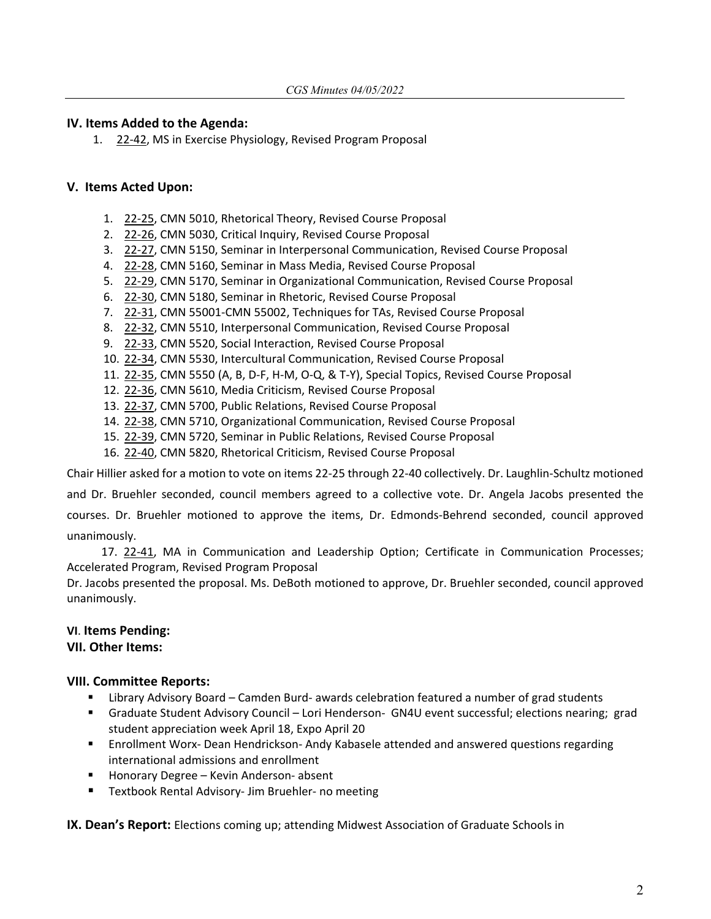## **IV. Items Added to the Agenda:**

1. 22‐[42,](https://castle.eiu.edu/eiucgs/currentagendaitems/agenda22-42.pdf) MS in Exercise Physiology, Revised Program Proposal

## **V. Items Acted Upon:**

- 1. 22‐[25,](https://castle.eiu.edu/eiucgs/currentagendaitems/agenda22-25.pdf) CMN 5010, Rhetorical Theory, Revised Course Proposal
- 2. 22‐[26,](https://castle.eiu.edu/eiucgs/currentagendaitems/agenda22-26.pdf) CMN 5030, Critical Inquiry, Revised Course Proposal
- 3. 22-[27,](https://castle.eiu.edu/eiucgs/currentagendaitems/agenda22-27.pdf) CMN 5150, Seminar in Interpersonal Communication, Revised Course Proposal
- 4. 22‐[28,](https://castle.eiu.edu/eiucgs/currentagendaitems/agenda22-28.pdf) CMN 5160, Seminar in Mass Media, Revised Course Proposal
- 5. 22-[29,](https://castle.eiu.edu/eiucgs/currentagendaitems/agenda22-29.pdf) CMN 5170, Seminar in Organizational Communication, Revised Course Proposal
- 6. 22‐[30,](https://castle.eiu.edu/eiucgs/currentagendaitems/agenda22-30.pdf) CMN 5180, Seminar in Rhetoric, Revised Course Proposal
- 7. 22-[31,](https://castle.eiu.edu/eiucgs/currentagendaitems/agenda22-31.pdf) CMN 55001-CMN 55002, Techniques for TAs, Revised Course Proposal
- 8. 22-[32,](https://castle.eiu.edu/eiucgs/currentagendaitems/agenda22-32.pdf) CMN 5510, Interpersonal Communication, Revised Course Proposal
- 9. 22‐[33,](https://castle.eiu.edu/eiucgs/currentagendaitems/agenda22-33.pdf) CMN 5520, Social Interaction, Revised Course Proposal
- 10. 22‐[34,](https://castle.eiu.edu/eiucgs/currentagendaitems/agenda22-34.pdf) CMN 5530, Intercultural Communication, Revised Course Proposal
- 11. 22‐[35,](https://castle.eiu.edu/eiucgs/currentagendaitems/agenda22-35.pdf) CMN 5550 (A, B, D‐F, H‐M, O‐Q, & T‐Y), Special Topics, Revised Course Proposal
- 12. 22‐[36,](https://castle.eiu.edu/eiucgs/currentagendaitems/agenda22-36.pdf) CMN 5610, Media Criticism, Revised Course Proposal
- 13. 22-[37,](https://castle.eiu.edu/eiucgs/currentagendaitems/agenda22-37.pdf) CMN 5700, Public Relations, Revised Course Proposal
- 14. 22-[38,](https://castle.eiu.edu/eiucgs/currentagendaitems/agenda22-38.pdf) CMN 5710, Organizational Communication, Revised Course Proposal
- 15. 22‐[39,](https://castle.eiu.edu/eiucgs/currentagendaitems/agenda22-39.pdf) CMN 5720, Seminar in Public Relations, Revised Course Proposal
- 16. 22-[40,](https://castle.eiu.edu/eiucgs/currentagendaitems/agenda22-40.pdf) CMN 5820, Rhetorical Criticism, Revised Course Proposal

Chair Hillier asked for a motion to vote on items 22‐25 through 22‐40 collectively. Dr. Laughlin‐Schultz motioned

and Dr. Bruehler seconded, council members agreed to a collective vote. Dr. Angela Jacobs presented the courses. Dr. Bruehler motioned to approve the items, Dr. Edmonds‐Behrend seconded, council approved unanimously.

17. [22](https://castle.eiu.edu/eiucgs/currentagendaitems/agenda22-41.pdf)-41, MA in Communication and Leadership Option; Certificate in Communication Processes; Accelerated Program, Revised Program Proposal

Dr. Jacobs presented the proposal. Ms. DeBoth motioned to approve, Dr. Bruehler seconded, council approved unanimously.

# **VI**. **Items Pending:**

## **VII. Other Items:**

## **VIII. Committee Reports:**

- Library Advisory Board Camden Burd- awards celebration featured a number of grad students
- Graduate Student Advisory Council Lori Henderson- GN4U event successful; elections nearing; grad student appreciation week April 18, Expo April 20
- Enrollment Worx- Dean Hendrickson- Andy Kabasele attended and answered questions regarding international admissions and enrollment
- Honorary Degree Kevin Anderson- absent
- Textbook Rental Advisory- Jim Bruehler- no meeting

**IX. Dean's Report:** Elections coming up; attending Midwest Association of Graduate Schools in